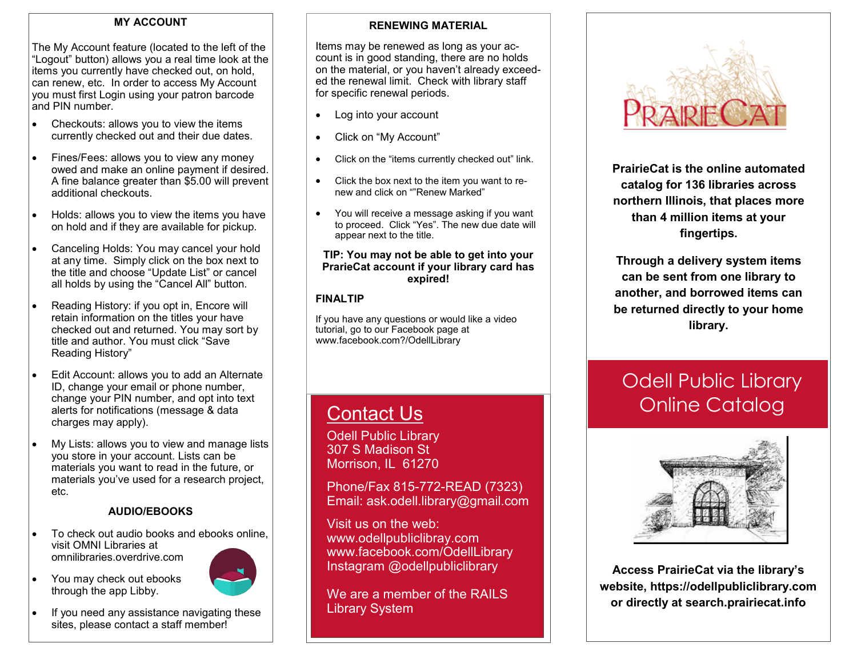#### **MY ACCOUNT**

The My Account feature (located to the left of the "Logout" button) allows you a real time look at the items you currently have checked out, on hold, can renew, etc. In order to access My Account you must first Login using your patron barcode and PIN number.

- Checkouts: allows you to view the items currently checked out and their due dates.
- Fines/Fees: allows you to view any money owed and make an online payment if desired. A fine balance greater than \$5.00 will prevent additional checkouts.
- Holds: allows you to view the items you have on hold and if they are available for pickup.
- Canceling Holds: You may cancel your hold at any time. Simply click on the box next to the title and choose "Update List" or cancel all holds by using the "Cancel All" button.
- Reading History: if you opt in, Encore will retain information on the titles your have checked out and returned. You may sort by title and author. You must click "Save Reading History"
- Edit Account: allows you to add an Alternate ID, change your email or phone number, change your PIN number, and opt into text alerts for notifications (message & data charges may apply).
- My Lists: allows you to view and manage lists you store in your account. Lists can be materials you want to read in the future, or materials you've used for a research project, etc.

## **AUDIO/EBOOKS**

- To check out audio books and ebooks online, visit OMNI Libraries at omnilibraries.overdrive.com
- You may check out ebooks through the app Libby.



 If you need any assistance navigating these sites, please contact a staff member!

#### **RENEWING MATERIAL**

Items may be renewed as long as your account is in good standing, there are no holds on the material, or you haven't already exceeded the renewal limit. Check with library staff for specific renewal periods.

- Log into your account
- Click on "My Account"
- Click on the "items currently checked out" link.
- Click the box next to the item you want to renew and click on ""Renew Marked"
- You will receive a message asking if you want to proceed. Click "Yes". The new due date will appear next to the title.

#### **TIP: You may not be able to get into your PrarieCat account if your library card has expired!**

## **FINALTIP**

If you have any questions or would like a video tutorial, go to our Facebook page at www.facebook.com?/OdellLibrary

## **Contact Us**

Odell Public Library 307 S Madison St Morrison, IL 61270

Phone/Fax 815-772-READ (7323) Email: ask.odell.library@gmail.com

Visit us on the web: www.odellpubliclibray.com www.facebook.com/OdellLibrary Instagram @odellpubliclibrary

We are a member of the RAILS Library System



**PrairieCat is the online automated catalog for 136 libraries across northern Illinois, that places more than 4 million items at your fingertips.**

**Through a delivery system items can be sent from one library to another, and borrowed items can be returned directly to your home library.**

# Odell Public Library Online Catalog



**Access PrairieCat via the library's website, https://odellpubliclibrary.com or directly at search.prairiecat.info**